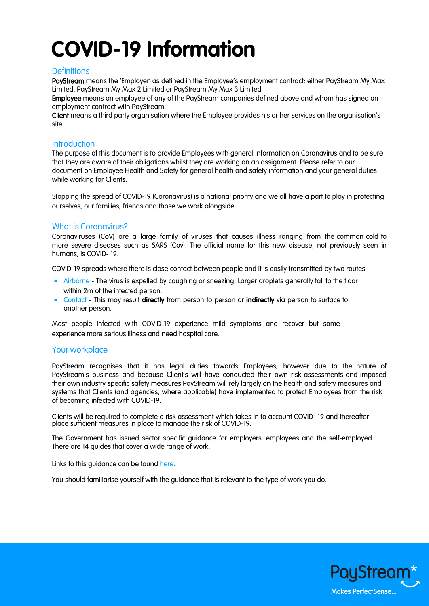# **COVID-19 Information**

## **Definitions**

PayStream means the 'Employer' as defined in the Employee's employment contract: either PayStream My Max Limited, PayStream My Max 2 Limited or PayStream My Max 3 Limited

Employee means an employee of any of the PayStream companies defined above and whom has signed an employment contract with PayStream.

Client means a third party organisation where the Employee provides his or her services on the organisation's site

#### **Introduction**

The purpose of this document is to provide Employees with general information on Coronavirus and to be sure that they are aware of their obligations whilst they are working on an assignment. Please refer to our document on Employee Health and Safety for general health and safety information and your general duties while working for Clients.

Stopping the spread of COVID-19 (Coronavirus) is a national priority and we all have a part to play in protecting ourselves, our families, friends and those we work alongside.

### What is Coronavirus?

Coronaviruses (CoV) are a large family of viruses that causes illness ranging from the common cold to more severe diseases such as SARS (Cov). The official name for this new disease, not previously seen in humans, is COVID- 19.

COVID-19 spreads where there is close contact between people and it is easily transmitted by two routes:

- Airborne The virus is expelled by coughing or sneezing. Larger droplets generally fall to the floor within 2m of the infected person.
- Contact This may result **directly** from person to person or **indirectly** via person to surface to another person.

Most people infected with COVID-19 experience mild symptoms and recover but some experience more serious illness and need hospital care.

### Your workplace

PayStream recognises that it has legal duties towards Employees, however due to the nature of PayStream's business and because Client's will have conducted their own risk assessments and imposed their own industry specific safety measures PayStream will rely largely on the health and safety measures and systems that Clients (and agencies, where applicable) have implemented to protect Employees from the risk of becoming infected with COVID-19.

Clients will be required to complete a risk assessment which takes in to account COVID -19 and thereafter place sufficient measures in place to manage the risk of COVID-19.

The Government has issued sector specific guidance for employers, employees and the self-employed. There are 14 guides that cover a wide range of work.

Links to this quidance can be found [here.](https://www.gov.uk/guidance/reducing-the-spread-of-respiratory-infections-including-covid-19-in-the-workplace)

You should familiarise yourself with the guidance that is relevant to the type of work you do.